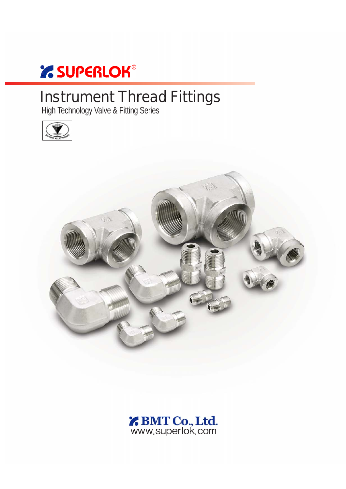# *' SUPERLOK®*

# Instrument Thread Fittings

High Technology Valve & Fitting Series





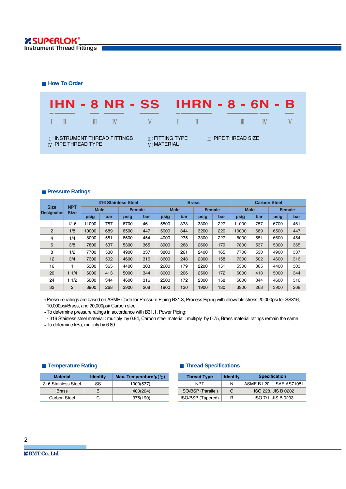**How To Order** 



#### **Pressure Ratings**

|                                  |                           | <b>316 Stainless Steel</b> |     |               | <b>Brass</b> |             |     |               | <b>Carbon Steel</b> |             |     |      |               |
|----------------------------------|---------------------------|----------------------------|-----|---------------|--------------|-------------|-----|---------------|---------------------|-------------|-----|------|---------------|
| <b>Size</b><br><b>Designator</b> | <b>NPT</b><br><b>Size</b> | <b>Male</b>                |     | <b>Female</b> |              | <b>Male</b> |     | <b>Female</b> |                     | <b>Male</b> |     |      | <b>Female</b> |
|                                  |                           | psig                       | bar | psig          | bar          | psig        | bar | psig          | bar                 | psig        | bar | psig | bar           |
|                                  | 1/16                      | 11000                      | 757 | 6700          | 461          | 5500        | 378 | 3300          | 227                 | 11000       | 757 | 6700 | 461           |
| 2                                | 1/8                       | 10000                      | 689 | 6500          | 447          | 5000        | 344 | 3200          | 220                 | 10000       | 689 | 6500 | 447           |
| 4                                | 1/4                       | 8000                       | 551 | 6600          | 454          | 4000        | 275 | 3300          | 227                 | 8000        | 551 | 6600 | 454           |
| 6                                | 3/8                       | 7800                       | 537 | 5300          | 365          | 3900        | 268 | 2600          | 179                 | 7800        | 537 | 5300 | 365           |
| 8                                | 1/2                       | 7700                       | 530 | 4900          | 337          | 3800        | 261 | 2400          | 165                 | 7700        | 530 | 4900 | 337           |
| 12                               | 3/4                       | 7300                       | 502 | 4600          | 316          | 3600        | 248 | 2300          | 158                 | 7300        | 502 | 4600 | 316           |
| 16                               |                           | 5300                       | 365 | 4400          | 303          | 2600        | 179 | 2200          | 151                 | 5300        | 365 | 4400 | 303           |
| 20                               | 11/4                      | 6000                       | 413 | 5000          | 344          | 3000        | 206 | 2500          | 172                 | 6000        | 413 | 5000 | 344           |
| 24                               | 11/2                      | 5000                       | 344 | 4600          | 316          | 2500        | 172 | 2300          | 158                 | 5000        | 344 | 4600 | 316           |
| 32                               | 2                         | 3900                       | 268 | 3900          | 268          | 1900        | 130 | 1900          | 130                 | 3900        | 268 | 3900 | 268           |

Pressure ratings are based on ASME Code for Pressure Piping B31.3, Process Piping with allowable stress 20,000psi for SS316, 10,000psi/Brass, and 20,000psi/ Carbon steel.

To determine pressure ratings in accordance with B31.1, Power Piping:

- 316 Stainless steel material : multiply by 0.94, Carbon steel material : multiply by 0.75, Brass material ratings remain the same To determine kPa, multiply by 6.89

#### **Temperature Rating**

| <b>Material</b>     | <b>Identify</b> | Max. Temperature $F(\mathcal{C})$ |
|---------------------|-----------------|-----------------------------------|
| 316 Stainless Steel | SS              | 1000(537)                         |
| <b>Brass</b>        | R               | 400(204)                          |
| Carbon Steel        | C               | 375(190)                          |

### **Thread Specifications**

| <b>Thread Type</b> | <b>Identify</b> | <b>Specification</b>      |
|--------------------|-----------------|---------------------------|
| <b>NPT</b>         | N               | ASME B1.20.1, SAE AS71051 |
| ISO/BSP (Parallel) | G               | ISO 228, JIS B 0202       |
| ISO/BSP (Tapered)  | R               | ISO 7/1, JIS B 0203       |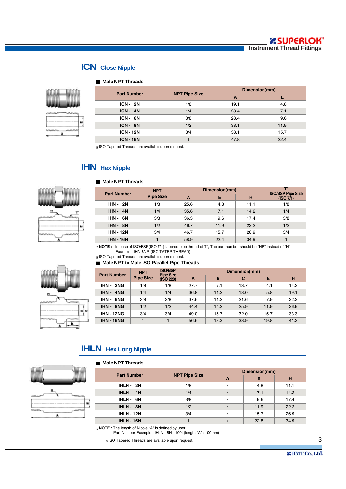ī

### **ICN Close Nipple**

#### **Male NPT Threads**



|                    |                      | Dimension(mm) |      |  |  |
|--------------------|----------------------|---------------|------|--|--|
| <b>Part Number</b> | <b>NPT Pipe Size</b> | A             | Е    |  |  |
| $ICN - 2N$         | 1/8                  | 19.1          | 4.8  |  |  |
| $ICN - 4N$         | 1/4                  | 28.4          | 7.1  |  |  |
| $ICN - 6N$         | 3/8                  | 28.4          | 9.6  |  |  |
| ICN-8N             | 1/2                  | 38.1          | 11.9 |  |  |
| <b>ICN - 12N</b>   | 3/4                  | 38.1          | 15.7 |  |  |
| <b>ICN - 16N</b>   |                      | 47.8          | 22.4 |  |  |

ISO Tapered Threads are available upon request.

### **IHN** Hex Nipple

#### **Male NPT Threads**



| <b>Part Number</b> | <b>NPT</b>       | Dimension(mm) | <b>ISO/BSP Pipe Size</b> |      |           |
|--------------------|------------------|---------------|--------------------------|------|-----------|
|                    | <b>Pipe Size</b> | A             | Е                        | н    | (ISO 7/1) |
| <b>IHN - 2N</b>    | 1/8              | 25.6          | 4.8                      | 11.1 | 1/8       |
| $IHN - 4N$         | 1/4              | 35.6          | 7.1                      | 14.2 | 1/4       |
| <b>IHN - 6N</b>    | 3/8              | 36.3          | 9.6                      | 17.4 | 3/8       |
| $IHN - 8N$         | 1/2              | 46.7          | 11.9                     | 22.2 | 1/2       |
| <b>IHN - 12N</b>   | 3/4              | 46.7          | 15.7                     | 26.9 | 3/4       |
| <b>IHN - 16N</b>   |                  | 58.9          | 22.4                     | 34.9 |           |

**NOTE :** In case of ISO/BSP(ISO 7/1) tapered pipe thread of T\*, The part number should be "NR" instead of "N" Example : IHN-8NR (ISO TATER THREAD)

ISO Tapered Threads are available upon request.

#### **Male NPT to Male ISO Parallel Pipe Threads**

|                    | <b>NPT</b>       | <b>ISO/BSP</b><br><b>Pipe Size</b> |      | Dimension(mm) |      |      |      |  |  |  |
|--------------------|------------------|------------------------------------|------|---------------|------|------|------|--|--|--|
| <b>Part Number</b> | <b>Pipe Size</b> | (ISO 228)                          | A    | B             | C    | Е    | н    |  |  |  |
| <b>IHN - 2NG</b>   | 1/8              | 1/8                                | 27.7 | 7.1           | 13.7 | 4.1  | 14.2 |  |  |  |
| <b>IHN - 4NG</b>   | 1/4              | 1/4                                | 36.8 | 11.2          | 18.0 | 5.8  | 19.1 |  |  |  |
| IHN - 6NG          | 3/8              | 3/8                                | 37.6 | 11.2          | 21.6 | 7.9  | 22.2 |  |  |  |
| <b>IHN-8NG</b>     | 1/2              | 1/2                                | 44.4 | 14.2          | 25.9 | 11.9 | 26.9 |  |  |  |
| <b>IHN - 12NG</b>  | 3/4              | 3/4                                | 49.0 | 15.7          | 32.0 | 15.7 | 33.3 |  |  |  |
| <b>IHN - 16NG</b>  |                  |                                    | 56.6 | 18.3          | 38.9 | 19.8 | 41.2 |  |  |  |

## **IHLN** Hex Long Nipple

#### **Male NPT Threads**



D

|     |                    |                      | Dimension(mm) |      |      |  |  |
|-----|--------------------|----------------------|---------------|------|------|--|--|
|     | <b>Part Number</b> | <b>NPT Pipe Size</b> | A             | Е    | н    |  |  |
|     | $IHLN - 2N$        | 1/8                  | $\star$       | 4.8  | 11.1 |  |  |
|     | $IHLN - 4N$        | 1/4                  | $\star$       | 7.1  | 14.2 |  |  |
|     | IHLN-6N            | 3/8                  | $\star$       | 9.6  | 17.4 |  |  |
|     | IHLN-8N            | 1/2                  | $\star$       | 11.9 | 22.2 |  |  |
| -wi | <b>IHLN - 12N</b>  | 3/4                  | $\star$       | 15.7 | 26.9 |  |  |
|     | <b>IHLN - 16N</b>  |                      | $\star$       | 22.8 | 34.9 |  |  |

**NOTE :** The length of Nipple "A" is defined by user Part Number Example : IHLN - 8N - 100L(length "A" : 100mm)

ISO Tapered Threads are available upon request.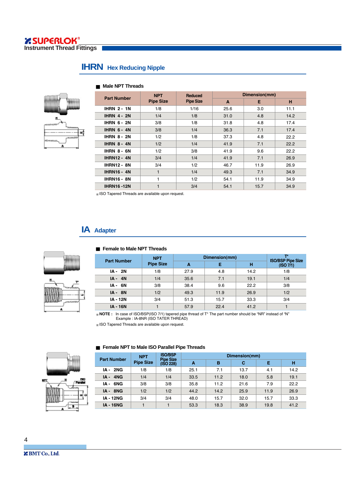### **IHRN** Hex Reducing Nipple



|  | <b>Male NPT Threads</b> |
|--|-------------------------|
|  |                         |

| <b>Part Number</b> | <b>NPT</b>       | <b>Reduced</b>   | Dimension(mm) |      |      |  |  |
|--------------------|------------------|------------------|---------------|------|------|--|--|
|                    | <b>Pipe Size</b> | <b>Pipe Size</b> | $\mathbf{A}$  | Е    | н    |  |  |
| <b>IHRN 2-1N</b>   | 1/8              | 1/16             | 25.6          | 3.0  | 11.1 |  |  |
| <b>IHRN 4-2N</b>   | 1/4              | 1/8              | 31.0          | 4.8  | 14.2 |  |  |
| <b>IHRN 6-2N</b>   | 3/8              | 1/8              | 31.8          | 4.8  | 17.4 |  |  |
| <b>IHRN 6-4N</b>   | 3/8              | 1/4              | 36.3          | 7.1  | 17.4 |  |  |
| <b>IHRN 8-2N</b>   | 1/2              | 1/8              | 37.3          | 4.8  | 22.2 |  |  |
| <b>IHRN 8-4N</b>   | 1/2              | 1/4              | 41.9          | 7.1  | 22.2 |  |  |
| <b>IHRN 8-6N</b>   | 1/2              | 3/8              | 41.9          | 9.6  | 22.2 |  |  |
| <b>IHRN12 - 4N</b> | 3/4              | 1/4              | 41.9          | 7.1  | 26.9 |  |  |
| <b>IHRN12 - 8N</b> | 3/4              | 1/2              | 46.7          | 11.9 | 26.9 |  |  |
| <b>IHRN16 - 4N</b> | $\mathbf{1}$     | 1/4              | 49.3          | 7.1  | 34.9 |  |  |
| <b>IHRN16 - 8N</b> | 1                | 1/2              | 54.1          | 11.9 | 34.9 |  |  |
| <b>IHRN16-12N</b>  | $\mathbf{1}$     | 3/4              | 54.1          | 15.7 | 34.9 |  |  |

ISO Tapered Threads are available upon request.

## **IA Adapter**





|                    | <b>NPT</b>       | Dimension(mm) | ┱∗<br><b>ISO/BSP Pipe Size</b> |      |           |
|--------------------|------------------|---------------|--------------------------------|------|-----------|
| <b>Part Number</b> | <b>Pipe Size</b> | A             | Е                              | н    | (ISO 7/1) |
| IA - 2N            | 1/8              | 27.9          | 4.8                            | 14.2 | 1/8       |
| $IA - 4N$          | 1/4              | 35.6          | 7.1                            | 19.1 | 1/4       |
| IA - 6N            | 3/8              | 38.4          | 9.6                            | 22.2 | 3/8       |
| $IA - 8N$          | 1/2              | 49.3          | 11.9                           | 26.9 | 1/2       |
| <b>IA - 12N</b>    | 3/4              | 51.3          | 15.7                           | 33.3 | 3/4       |
| <b>IA - 16N</b>    |                  | 57.9          | 22.4                           | 41.2 |           |

**NOTE :** In case of ISO/BSP(ISO 7/1) tapered pipe thread of T\* The part number should be "NR" instead of "N" Example : IA-8NR (ISO TATER THREAD)

ISO Tapered Threads are available upon request.

**Female NPT to Male ISO Parallel Pipe Threads**



| <b>Part Number</b> | <b>NPT</b>       | <b>ISO/BSP</b><br><b>Pipe Size</b> | Dimension(mm) |      |      |      |      |  |  |  |  |
|--------------------|------------------|------------------------------------|---------------|------|------|------|------|--|--|--|--|
|                    | <b>Pipe Size</b> | (ISO 228)                          | A             | B    | C    | Е    | н    |  |  |  |  |
| <b>IA - 2NG</b>    | 1/8              | 1/8                                | 25.1          | 7.1  | 13.7 | 4.1  | 14.2 |  |  |  |  |
| <b>IA - 4NG</b>    | 1/4              | 1/4                                | 33.5          | 11.2 | 18.0 | 5.8  | 19.1 |  |  |  |  |
| IA-6NG             | 3/8              | 3/8                                | 35.8          | 11.2 | 21.6 | 7.9  | 22.2 |  |  |  |  |
| IA-8NG             | 1/2              | 1/2                                | 44.2          | 14.2 | 25.9 | 11.9 | 26.9 |  |  |  |  |
| <b>IA - 12NG</b>   | 3/4              | 3/4                                | 48.0          | 15.7 | 32.0 | 15.7 | 33.3 |  |  |  |  |
| <b>IA - 16NG</b>   |                  |                                    | 53.3          | 18.3 | 38.9 | 19.8 | 41.2 |  |  |  |  |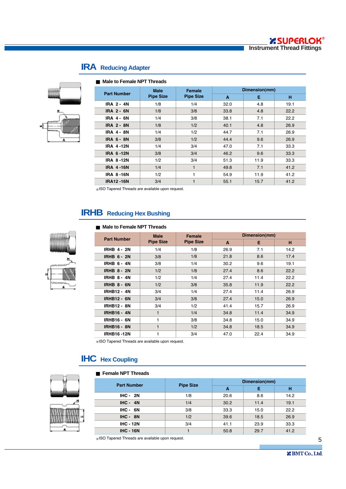

# **IRA Reducing Adapter**

| Male to Female NPT Threads |                  |                  |      |               |      |  |  |  |  |  |
|----------------------------|------------------|------------------|------|---------------|------|--|--|--|--|--|
| <b>Part Number</b>         | <b>Male</b>      | <b>Female</b>    |      | Dimension(mm) |      |  |  |  |  |  |
|                            | <b>Pipe Size</b> | <b>Pipe Size</b> | A    | Е             | н    |  |  |  |  |  |
| <b>IRA 2-4N</b>            | 1/8              | 1/4              | 32.0 | 4.8           | 19.1 |  |  |  |  |  |
| <b>IRA 2 - 6N</b>          | 1/8              | 3/8              | 33.8 | 4.8           | 22.2 |  |  |  |  |  |
| <b>IRA 4 - 6N</b>          | 1/4              | 3/8              | 38.1 | 7.1           | 22.2 |  |  |  |  |  |
| <b>IRA 2 - 8N</b>          | 1/8              | 1/2              | 40.1 | 4.8           | 26.9 |  |  |  |  |  |
| <b>IRA 4 - 8N</b>          | 1/4              | 1/2              | 44.7 | 7.1           | 26.9 |  |  |  |  |  |
| <b>IRA 6 - 8N</b>          | 3/8              | 1/2              | 44.4 | 9.6           | 26.9 |  |  |  |  |  |
| <b>IRA 4-12N</b>           | 1/4              | 3/4              | 47.0 | 7.1           | 33.3 |  |  |  |  |  |
| <b>IRA 6-12N</b>           | 3/8              | 3/4              | 46.2 | 9.6           | 33.3 |  |  |  |  |  |
| <b>IRA 8-12N</b>           | 1/2              | 3/4              | 51.3 | 11.9          | 33.3 |  |  |  |  |  |
| <b>IRA 4-16N</b>           | 1/4              | 1                | 49.8 | 7.1           | 41.2 |  |  |  |  |  |
| <b>IRA 8-16N</b>           | 1/2              | 1                | 54.9 | 11.9          | 41.2 |  |  |  |  |  |
| <b>IRA12-16N</b>           | 3/4              | 1                | 55.1 | 15.7          | 41.2 |  |  |  |  |  |

ISO Tapered Threads are available upon request.

# **IRHB Reducing Hex Bushing**

#### **Male to Female NPT Threads**

|                    | <b>Male</b>                          | <b>Female</b> |      | Dimension(mm) |      |
|--------------------|--------------------------------------|---------------|------|---------------|------|
| <b>Part Number</b> | <b>Pipe Size</b><br><b>Pipe Size</b> |               | A    | E             | н    |
| <b>IRHB 4 - 2N</b> | 1/4                                  | 1/8           | 26.9 | 7.1           | 14.2 |
| <b>IRHB 6 - 2N</b> | 3/8                                  | 1/8           | 21.8 | 8.6           | 17.4 |
| <b>IRHB 6-4N</b>   | 3/8                                  | 1/4           | 30.2 | 9.6           | 19.1 |
| <b>IRHB 8 - 2N</b> | 1/2                                  | 1/8           | 27.4 | 8.6           | 22.2 |
| <b>IRHB 8-4N</b>   | 1/2                                  | 1/4           | 27.4 | 11.4          | 22.2 |
| <b>IRHB 8 - 6N</b> | 1/2                                  | 3/8           | 35.8 | 11.9          | 22.2 |
| <b>IRHB12 - 4N</b> | 3/4                                  | 1/4           | 27.4 | 11.4          | 26.9 |
| <b>IRHB12 - 6N</b> | 3/4                                  | 3/8           | 27.4 | 15.0          | 26.9 |
| <b>IRHB12 - 8N</b> | 3/4                                  | 1/2           | 41.4 | 15.7          | 26.9 |
| <b>IRHB16 - 4N</b> | 1                                    | 1/4           | 34.8 | 11.4          | 34.9 |
| <b>IRHB16 - 6N</b> | 1                                    | 3/8           | 34.8 | 15.0          | 34.9 |
| <b>IRHB16 - 8N</b> |                                      | 1/2           | 34.8 | 18.5          | 34.9 |
| <b>IRHB16-12N</b>  |                                      | 3/4           | 47.0 | 22.4          | 34.9 |

ISO Tapered Threads are available upon request.

## **IHC Hex Coupling**

#### **Female NPT Threads**



| <b>Part Number</b> | <b>Pipe Size</b> | Dimension(mm) |      |      |  |
|--------------------|------------------|---------------|------|------|--|
|                    |                  | A             | Е    | н    |  |
| $IHC - 2N$         | 1/8              | 20.6          | 8.6  | 14.2 |  |
| $IHC - 4N$         | 1/4              | 30.2          | 11.4 | 19.1 |  |
| $IHC - 6N$         | 3/8              | 33.3          | 15.0 | 22.2 |  |
| $IHC - 8N$         | 1/2              | 39.6          | 18.5 | 26.9 |  |
| <b>IHC - 12N</b>   | 3/4              | 41.1          | 23.9 | 33.3 |  |
| <b>IHC - 16N</b>   |                  | 50.8          | 29.7 | 41.2 |  |
|                    |                  |               |      |      |  |

ISO Tapered Threads are available upon request.

5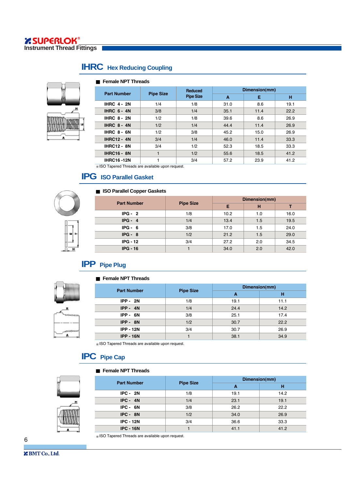# **IHRC Hex Reducing Coupling**

**Female NPT Threads** 

|                    |                  | Reduced          | Dimension(mm) |      |      |  |
|--------------------|------------------|------------------|---------------|------|------|--|
| <b>Part Number</b> | <b>Pipe Size</b> | <b>Pipe Size</b> | A             | Е    | н    |  |
| <b>IHRC 4-2N</b>   | 1/4              | 1/8              | 31.0          | 8.6  | 19.1 |  |
| <b>IHRC 6-4N</b>   | 3/8              | 1/4              | 35.1          | 11.4 | 22.2 |  |
| <b>IHRC 8-2N</b>   | 1/2              | 1/8              | 39.6          | 8.6  | 26.9 |  |
| <b>IHRC 8-4N</b>   | 1/2              | 1/4              | 44.4          | 11.4 | 26.9 |  |
| <b>IHRC 8-6N</b>   | 1/2              | 3/8              | 45.2          | 15.0 | 26.9 |  |
| <b>IHRC12 - 4N</b> | 3/4              | 1/4              | 46.0          | 11.4 | 33.3 |  |
| <b>IHRC12 - 8N</b> | 3/4              | 1/2              | 52.3          | 18.5 | 33.3 |  |
| <b>IHRC16 - 8N</b> |                  | 1/2              | 55.6          | 18.5 | 41.2 |  |
| <b>IHRC16-12N</b>  |                  | 3/4              | 57.2          | 23.9 | 41.2 |  |

ISO Tapered Threads are available upon request.

## **IPG ISO Parallel Gasket**

### **ISO Parallel Copper Gaskets**



| <b>Part Number</b> | <b>Pipe Size</b> | Dimension(mm) |     |      |  |
|--------------------|------------------|---------------|-----|------|--|
|                    |                  | Е             | н   |      |  |
| $IPG - 2$          | 1/8              | 10.2          | 1.0 | 16.0 |  |
| $IPG - 4$          | 1/4              | 13.4          | 1.5 | 19.5 |  |
| $IPG - 6$          | 3/8              | 17.0          | 1.5 | 24.0 |  |
| $IPG - 8$          | 1/2              | 21.2          | 1.5 | 29.0 |  |
| $IPG - 12$         | 3/4              | 27.2          | 2.0 | 34.5 |  |
| $IPG - 16$         |                  | 34.0          | 2.0 | 42.0 |  |

### **IPP** Pipe Plug

#### **Female NPT Threads**



| <b>Part Number</b> | <b>Pipe Size</b><br>1/8<br>1/4<br>3/8<br>1/2<br>3/4 | Dimension(mm) |      |  |
|--------------------|-----------------------------------------------------|---------------|------|--|
|                    |                                                     | A             | н    |  |
| $IPP - 2N$         |                                                     | 19.1          | 11.1 |  |
| $IPP - 4N$         |                                                     | 24.4          | 14.2 |  |
| IPP-6N             |                                                     | 25.1          | 17.4 |  |
| $IPP - 8N$         |                                                     | 30.7          | 22.2 |  |
| <b>IPP - 12N</b>   |                                                     | 30.7          | 26.9 |  |
| <b>IPP - 16N</b>   |                                                     | 38.1          | 34.9 |  |

ISO Tapered Threads are available upon request.

### **IPC Pipe Cap**

#### **Female NPT Threads**

| <b>Part Number</b> | <b>Pipe Size</b> | Dimension(mm) |      |  |  |
|--------------------|------------------|---------------|------|--|--|
|                    |                  | A             | н    |  |  |
| $IPC - 2N$         | 1/8              | 19.1          | 14.2 |  |  |
| $IPC - 4N$         | 1/4              | 23.1          | 19.1 |  |  |
| $IPC - 6N$         | 3/8              | 26.2          | 22.2 |  |  |
| IPC - 8N           | 1/2              | 34.0          | 26.9 |  |  |
| <b>IPC - 12N</b>   | 3/4              | 36.6          | 33.3 |  |  |
| <b>IPC - 16N</b>   |                  | 41.1          | 41.2 |  |  |

ISO Tapered Threads are available upon request.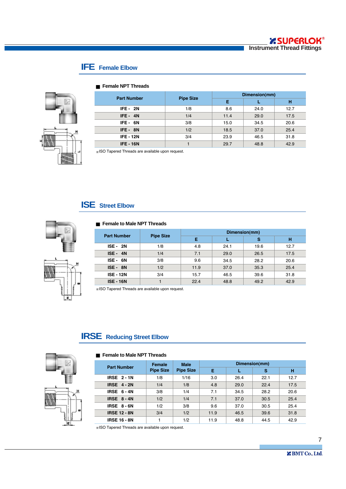# **IFE Female Elbow**



#### **Female NPT Threads**

| <b>Part Number</b> | <b>Pipe Size</b> | Dimension(mm) |      |      |  |
|--------------------|------------------|---------------|------|------|--|
|                    |                  | Е             |      | н    |  |
| <b>IFE - 2N</b>    | 1/8              | 8.6           | 24.0 | 12.7 |  |
| $IFE - 4N$         | 1/4              | 11.4          | 29.0 | 17.5 |  |
| IFE-6N             | 3/8              | 15.0          | 34.5 | 20.6 |  |
| IFE-8N             | 1/2              | 18.5          | 37.0 | 25.4 |  |
| <b>IFE - 12N</b>   | 3/4              | 23.9          | 46.5 | 31.8 |  |
| <b>IFE - 16N</b>   |                  | 29.7          | 48.8 | 42.9 |  |

ISO Tapered Threads are available upon request.

## **ISE Street Elbow**



#### **Female to Male NPT Threads**

|   | ÷ |  |
|---|---|--|
| L |   |  |
|   |   |  |

| <b>Part Number</b> |                  |      |      | Dimension(mm) |      |
|--------------------|------------------|------|------|---------------|------|
|                    | <b>Pipe Size</b> | Е    |      | s             | н    |
| <b>ISE - 2N</b>    | 1/8              | 4.8  | 24.1 | 19.6          | 12.7 |
| $ISE - 4N$         | 1/4              | 7.1  | 29.0 | 26.5          | 17.5 |
| ISE-6N             | 3/8              | 9.6  | 34.5 | 28.2          | 20.6 |
| ISE - 8N           | 1/2              | 11.9 | 37.0 | 35.3          | 25.4 |
| <b>ISE - 12N</b>   | 3/4              | 15.7 | 46.5 | 39.6          | 31.8 |
| <b>ISE - 16N</b>   |                  | 22.4 | 48.8 | 49.2          | 42.9 |

ISO Tapered Threads are available upon request.

## **IRSE Reducing Street Elbow**



#### **Female to Male NPT Threads**

|                     | <b>Male</b><br><b>Female</b> |                  | Dimension(mm) |      |      |      |
|---------------------|------------------------------|------------------|---------------|------|------|------|
| <b>Part Number</b>  | <b>Pipe Size</b>             | <b>Pipe Size</b> | Е             |      | s    | н    |
| <b>IRSE 2-1N</b>    | 1/8                          | 1/16             | 3.0           | 26.4 | 22.1 | 12.7 |
| <b>IRSE 4-2N</b>    | 1/4                          | 1/8              | 4.8           | 29.0 | 22.4 | 17.5 |
| <b>IRSE 6-4N</b>    | 3/8                          | 1/4              | 7.1           | 34.5 | 28.2 | 20.6 |
| IRSE $8 - 4N$       | 1/2                          | 1/4              | 7.1           | 37.0 | 30.5 | 25.4 |
| IRSE 8-6N           | 1/2                          | 3/8              | 9.6           | 37.0 | 30.5 | 25.4 |
| <b>IRSE 12 - 8N</b> | 3/4                          | 1/2              | 11.9          | 46.5 | 39.6 | 31.8 |
| <b>IRSE 16 - 8N</b> |                              | 1/2              | 11.9          | 48.8 | 44.5 | 42.9 |

ISO Tapered Threads are available upon request.

7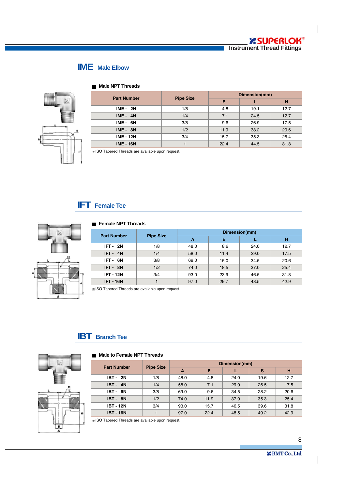### **IME Male Elbow**



| <b>Part Number</b> | <b>Pipe Size</b> | Dimension(mm) |      |      |  |
|--------------------|------------------|---------------|------|------|--|
|                    |                  | Е             |      | н    |  |
| <b>IME - 2N</b>    | 1/8              | 4.8           | 19.1 | 12.7 |  |
| $IME - 4N$         | 1/4              | 7.1           | 24.5 | 12.7 |  |
| $IME - 6N$         | 3/8              | 9.6           | 26.9 | 17.5 |  |
| $IME - 8N$         | 1/2              | 11.9          | 33.2 | 20.6 |  |
| <b>IME - 12N</b>   | 3/4              | 15.7          | 35.3 | 25.4 |  |
| <b>IME - 16N</b>   |                  | 22.4          | 44.5 | 31.8 |  |

### **Male NPT Threads**

ISO Tapered Threads are available upon request.

### **IFT Female Tee**



#### **Female NPT Threads**

| <b>Part Number</b> | <b>Pipe Size</b> | Dimension(mm) |      |      |      |  |  |
|--------------------|------------------|---------------|------|------|------|--|--|
|                    |                  | A             | Е    |      | н    |  |  |
| $IFT - 2N$         | 1/8              | 48.0          | 8.6  | 24.0 | 12.7 |  |  |
| IFT-4N             | 1/4              | 58.0          | 11.4 | 29.0 | 17.5 |  |  |
| IFT-6N             | 3/8              | 69.0          | 15.0 | 34.5 | 20.6 |  |  |
| IFT-8N             | 1/2              | 74.0          | 18.5 | 37.0 | 25.4 |  |  |
| <b>IFT - 12N</b>   | 3/4              | 93.0          | 23.9 | 46.5 | 31.8 |  |  |
| <b>IFT - 16N</b>   |                  | 97.0          | 29.7 | 48.5 | 42.9 |  |  |

ISO Tapered Threads are available upon request.

### **IBT Branch Tee**



#### **Male to Female NPT Threads**

| <b>Part Number</b> | <b>Pipe Size</b> | Dimension(mm) |      |      |      |      |  |
|--------------------|------------------|---------------|------|------|------|------|--|
|                    |                  | A             | Е    |      | s    | н    |  |
| <b>IBT - 2N</b>    | 1/8              | 48.0          | 4.8  | 24.0 | 19.6 | 12.7 |  |
| <b>IBT - 4N</b>    | 1/4              | 58.0          | 7.1  | 29.0 | 26.5 | 17.5 |  |
| IBT - 6N           | 3/8              | 69.0          | 9.6  | 34.5 | 28.2 | 20.6 |  |
| IBT-8N             | 1/2              | 74.0          | 11.9 | 37.0 | 35.3 | 25.4 |  |
| <b>IBT - 12N</b>   | 3/4              | 93.0          | 15.7 | 46.5 | 39.6 | 31.8 |  |
| <b>IBT - 16N</b>   |                  | 97.0          | 22.4 | 48.5 | 49.2 | 42.9 |  |

 $*$  ISO Tapered Threads are available upon request.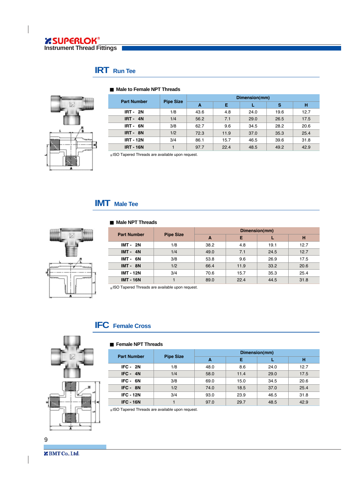# **IRT Run Tee**



### **Male to Female NPT Threads**

| <b>Part Number</b> | <b>Pipe Size</b> | Dimension(mm) |      |      |      |      |  |
|--------------------|------------------|---------------|------|------|------|------|--|
|                    |                  | A             | Е    |      | s    | н    |  |
| <b>IRT - 2N</b>    | 1/8              | 43.6          | 4.8  | 24.0 | 19.6 | 12.7 |  |
| <b>IRT - 4N</b>    | 1/4              | 56.2          | 7.1  | 29.0 | 26.5 | 17.5 |  |
| IRT-6N             | 3/8              | 62.7          | 9.6  | 34.5 | 28.2 | 20.6 |  |
| IRT-8N             | 1/2              | 72.3          | 11.9 | 37.0 | 35.3 | 25.4 |  |
| <b>IRT - 12N</b>   | 3/4              | 86.1          | 15.7 | 46.5 | 39.6 | 31.8 |  |
| <b>IRT - 16N</b>   |                  | 97.7          | 22.4 | 48.5 | 49.2 | 42.9 |  |

ISO Tapered Threads are available upon request.

# **IMT Male Tee**

Ī

 $\overline{a}$ 

### **Male NPT Threads**



| <b>Part Number</b> | <b>Pipe Size</b> | Dimension(mm) |      |      |      |  |
|--------------------|------------------|---------------|------|------|------|--|
|                    |                  | A             | Е    |      | н    |  |
| <b>IMT - 2N</b>    | 1/8              | 38.2          | 4.8  | 19.1 | 12.7 |  |
| $IMT - 4N$         | 1/4              | 49.0          | 7.1  | 24.5 | 12.7 |  |
| IMT-6N             | 3/8              | 53.8          | 9.6  | 26.9 | 17.5 |  |
| $IMT - 8N$         | 1/2              | 66.4          | 11.9 | 33.2 | 20.6 |  |
| <b>IMT - 12N</b>   | 3/4              | 70.6          | 15.7 | 35.3 | 25.4 |  |
| <b>IMT - 16N</b>   |                  | 89.0          | 22.4 | 44.5 | 31.8 |  |

ISO Tapered Threads are available upon request.

### **IFC Female Cross**



#### **Female NPT Threads**

| <b>Part Number</b> | <b>Pipe Size</b> | Dimension(mm) |      |      |      |  |
|--------------------|------------------|---------------|------|------|------|--|
|                    |                  | A             | Е    |      | н    |  |
| $IFC - 2N$         | 1/8              | 48.0          | 8.6  | 24.0 | 12.7 |  |
| $IFC - 4N$         | 1/4              | 58.0          | 11.4 | 29.0 | 17.5 |  |
| IFC - 6N           | 3/8              | 69.0          | 15.0 | 34.5 | 20.6 |  |
| IFC - 8N           | 1/2              | 74.0          | 18.5 | 37.0 | 25.4 |  |
| <b>IFC - 12N</b>   | 3/4              | 93.0          | 23.9 | 46.5 | 31.8 |  |
| <b>IFC - 16N</b>   |                  | 97.0          | 29.7 | 48.5 | 42.9 |  |

ISO Tapered Threads are available upon request.

9

**Z** BMT Co., Ltd.